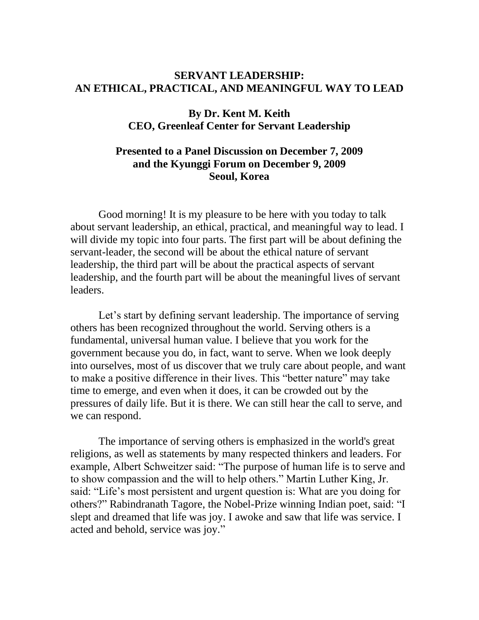## **SERVANT LEADERSHIP: AN ETHICAL, PRACTICAL, AND MEANINGFUL WAY TO LEAD**

## **By Dr. Kent M. Keith CEO, Greenleaf Center for Servant Leadership**

## **Presented to a Panel Discussion on December 7, 2009 and the Kyunggi Forum on December 9, 2009 Seoul, Korea**

Good morning! It is my pleasure to be here with you today to talk about servant leadership, an ethical, practical, and meaningful way to lead. I will divide my topic into four parts. The first part will be about defining the servant-leader, the second will be about the ethical nature of servant leadership, the third part will be about the practical aspects of servant leadership, and the fourth part will be about the meaningful lives of servant leaders.

Let's start by defining servant leadership. The importance of serving others has been recognized throughout the world. Serving others is a fundamental, universal human value. I believe that you work for the government because you do, in fact, want to serve. When we look deeply into ourselves, most of us discover that we truly care about people, and want to make a positive difference in their lives. This "better nature" may take time to emerge, and even when it does, it can be crowded out by the pressures of daily life. But it is there. We can still hear the call to serve, and we can respond.

The importance of serving others is emphasized in the world's great religions, as well as statements by many respected thinkers and leaders. For example, Albert Schweitzer said: "The purpose of human life is to serve and to show compassion and the will to help others." Martin Luther King, Jr. said: "Life's most persistent and urgent question is: What are you doing for others?" Rabindranath Tagore, the Nobel-Prize winning Indian poet, said: "I slept and dreamed that life was joy. I awoke and saw that life was service. I acted and behold, service was joy."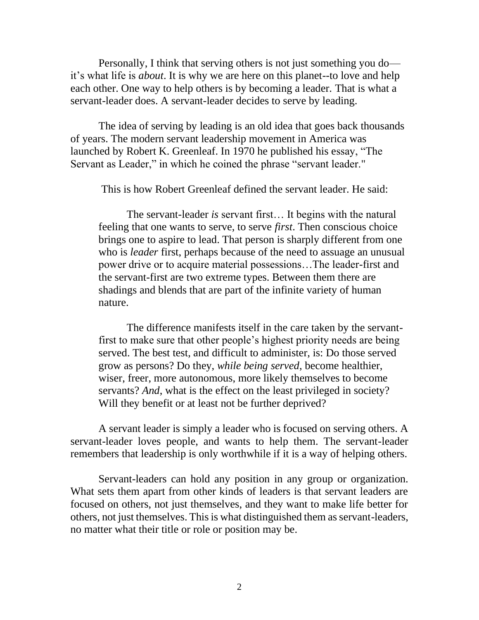Personally, I think that serving others is not just something you do it's what life is *about*. It is why we are here on this planet--to love and help each other. One way to help others is by becoming a leader. That is what a servant-leader does. A servant-leader decides to serve by leading.

The idea of serving by leading is an old idea that goes back thousands of years. The modern servant leadership movement in America was launched by Robert K. Greenleaf. In 1970 he published his essay, "The Servant as Leader," in which he coined the phrase "servant leader."

This is how Robert Greenleaf defined the servant leader. He said:

The servant-leader *is* servant first… It begins with the natural feeling that one wants to serve, to serve *first*. Then conscious choice brings one to aspire to lead. That person is sharply different from one who is *leader* first, perhaps because of the need to assuage an unusual power drive or to acquire material possessions…The leader-first and the servant-first are two extreme types. Between them there are shadings and blends that are part of the infinite variety of human nature.

The difference manifests itself in the care taken by the servantfirst to make sure that other people's highest priority needs are being served. The best test, and difficult to administer, is: Do those served grow as persons? Do they, *while being served*, become healthier, wiser, freer, more autonomous, more likely themselves to become servants? *And*, what is the effect on the least privileged in society? Will they benefit or at least not be further deprived?

A servant leader is simply a leader who is focused on serving others. A servant-leader loves people, and wants to help them. The servant-leader remembers that leadership is only worthwhile if it is a way of helping others.

Servant-leaders can hold any position in any group or organization. What sets them apart from other kinds of leaders is that servant leaders are focused on others, not just themselves, and they want to make life better for others, not just themselves. This is what distinguished them as servant-leaders, no matter what their title or role or position may be.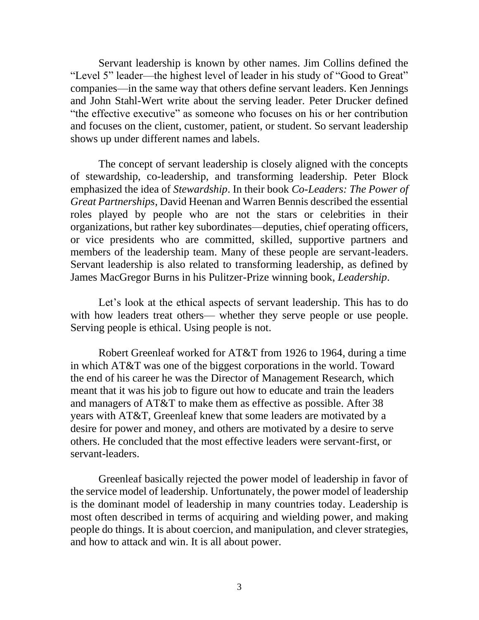Servant leadership is known by other names. Jim Collins defined the "Level 5" leader—the highest level of leader in his study of "Good to Great" companies—in the same way that others define servant leaders. Ken Jennings and John Stahl-Wert write about the serving leader. Peter Drucker defined "the effective executive" as someone who focuses on his or her contribution and focuses on the client, customer, patient, or student. So servant leadership shows up under different names and labels.

The concept of servant leadership is closely aligned with the concepts of stewardship, co-leadership, and transforming leadership. Peter Block emphasized the idea of *Stewardship*. In their book *Co-Leaders: The Power of Great Partnerships*, David Heenan and Warren Bennis described the essential roles played by people who are not the stars or celebrities in their organizations, but rather key subordinates—deputies, chief operating officers, or vice presidents who are committed, skilled, supportive partners and members of the leadership team. Many of these people are servant-leaders. Servant leadership is also related to transforming leadership, as defined by James MacGregor Burns in his Pulitzer-Prize winning book, *Leadership*.

Let's look at the ethical aspects of servant leadership. This has to do with how leaders treat others— whether they serve people or use people. Serving people is ethical. Using people is not.

Robert Greenleaf worked for AT&T from 1926 to 1964, during a time in which AT&T was one of the biggest corporations in the world. Toward the end of his career he was the Director of Management Research, which meant that it was his job to figure out how to educate and train the leaders and managers of AT&T to make them as effective as possible. After 38 years with AT&T, Greenleaf knew that some leaders are motivated by a desire for power and money, and others are motivated by a desire to serve others. He concluded that the most effective leaders were servant-first, or servant-leaders.

Greenleaf basically rejected the power model of leadership in favor of the service model of leadership. Unfortunately, the power model of leadership is the dominant model of leadership in many countries today. Leadership is most often described in terms of acquiring and wielding power, and making people do things. It is about coercion, and manipulation, and clever strategies, and how to attack and win. It is all about power.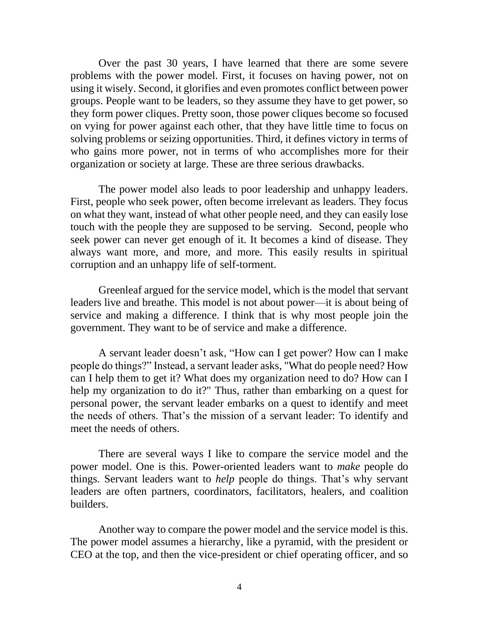Over the past 30 years, I have learned that there are some severe problems with the power model. First, it focuses on having power, not on using it wisely. Second, it glorifies and even promotes conflict between power groups. People want to be leaders, so they assume they have to get power, so they form power cliques. Pretty soon, those power cliques become so focused on vying for power against each other, that they have little time to focus on solving problems or seizing opportunities. Third, it defines victory in terms of who gains more power, not in terms of who accomplishes more for their organization or society at large. These are three serious drawbacks.

The power model also leads to poor leadership and unhappy leaders. First, people who seek power, often become irrelevant as leaders. They focus on what they want, instead of what other people need, and they can easily lose touch with the people they are supposed to be serving. Second, people who seek power can never get enough of it. It becomes a kind of disease. They always want more, and more, and more. This easily results in spiritual corruption and an unhappy life of self-torment.

Greenleaf argued for the service model, which is the model that servant leaders live and breathe. This model is not about power—it is about being of service and making a difference. I think that is why most people join the government. They want to be of service and make a difference.

A servant leader doesn't ask, "How can I get power? How can I make people do things?" Instead, a servant leader asks, "What do people need? How can I help them to get it? What does my organization need to do? How can I help my organization to do it?" Thus, rather than embarking on a quest for personal power, the servant leader embarks on a quest to identify and meet the needs of others. That's the mission of a servant leader: To identify and meet the needs of others.

There are several ways I like to compare the service model and the power model. One is this. Power-oriented leaders want to *make* people do things. Servant leaders want to *help* people do things. That's why servant leaders are often partners, coordinators, facilitators, healers, and coalition builders.

Another way to compare the power model and the service model is this. The power model assumes a hierarchy, like a pyramid, with the president or CEO at the top, and then the vice-president or chief operating officer, and so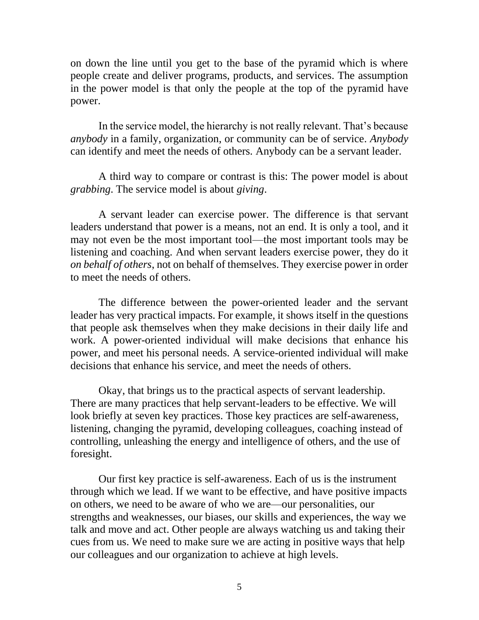on down the line until you get to the base of the pyramid which is where people create and deliver programs, products, and services. The assumption in the power model is that only the people at the top of the pyramid have power.

In the service model, the hierarchy is not really relevant. That's because *anybody* in a family, organization, or community can be of service. *Anybody* can identify and meet the needs of others. Anybody can be a servant leader.

A third way to compare or contrast is this: The power model is about *grabbing*. The service model is about *giving*.

A servant leader can exercise power. The difference is that servant leaders understand that power is a means, not an end. It is only a tool, and it may not even be the most important tool—the most important tools may be listening and coaching. And when servant leaders exercise power, they do it *on behalf of others*, not on behalf of themselves. They exercise power in order to meet the needs of others.

The difference between the power-oriented leader and the servant leader has very practical impacts. For example, it shows itself in the questions that people ask themselves when they make decisions in their daily life and work. A power-oriented individual will make decisions that enhance his power, and meet his personal needs. A service-oriented individual will make decisions that enhance his service, and meet the needs of others.

Okay, that brings us to the practical aspects of servant leadership. There are many practices that help servant-leaders to be effective. We will look briefly at seven key practices. Those key practices are self-awareness, listening, changing the pyramid, developing colleagues, coaching instead of controlling, unleashing the energy and intelligence of others, and the use of foresight.

Our first key practice is self-awareness. Each of us is the instrument through which we lead. If we want to be effective, and have positive impacts on others, we need to be aware of who we are—our personalities, our strengths and weaknesses, our biases, our skills and experiences, the way we talk and move and act. Other people are always watching us and taking their cues from us. We need to make sure we are acting in positive ways that help our colleagues and our organization to achieve at high levels.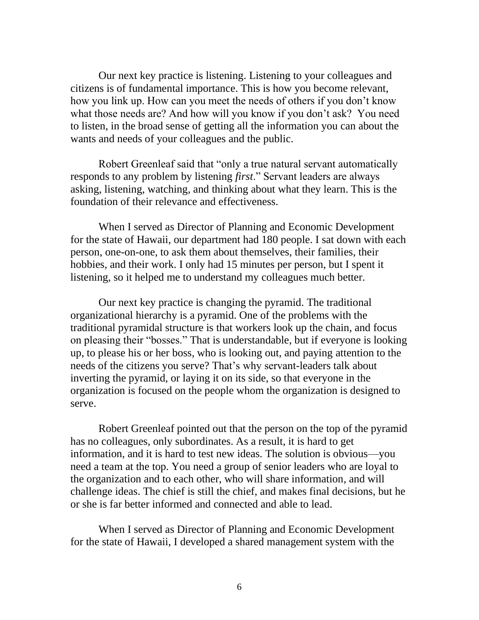Our next key practice is listening. Listening to your colleagues and citizens is of fundamental importance. This is how you become relevant, how you link up. How can you meet the needs of others if you don't know what those needs are? And how will you know if you don't ask? You need to listen, in the broad sense of getting all the information you can about the wants and needs of your colleagues and the public.

Robert Greenleaf said that "only a true natural servant automatically responds to any problem by listening *first*." Servant leaders are always asking, listening, watching, and thinking about what they learn. This is the foundation of their relevance and effectiveness.

When I served as Director of Planning and Economic Development for the state of Hawaii, our department had 180 people. I sat down with each person, one-on-one, to ask them about themselves, their families, their hobbies, and their work. I only had 15 minutes per person, but I spent it listening, so it helped me to understand my colleagues much better.

Our next key practice is changing the pyramid. The traditional organizational hierarchy is a pyramid. One of the problems with the traditional pyramidal structure is that workers look up the chain, and focus on pleasing their "bosses." That is understandable, but if everyone is looking up, to please his or her boss, who is looking out, and paying attention to the needs of the citizens you serve? That's why servant-leaders talk about inverting the pyramid, or laying it on its side, so that everyone in the organization is focused on the people whom the organization is designed to serve.

Robert Greenleaf pointed out that the person on the top of the pyramid has no colleagues, only subordinates. As a result, it is hard to get information, and it is hard to test new ideas. The solution is obvious—you need a team at the top. You need a group of senior leaders who are loyal to the organization and to each other, who will share information, and will challenge ideas. The chief is still the chief, and makes final decisions, but he or she is far better informed and connected and able to lead.

When I served as Director of Planning and Economic Development for the state of Hawaii, I developed a shared management system with the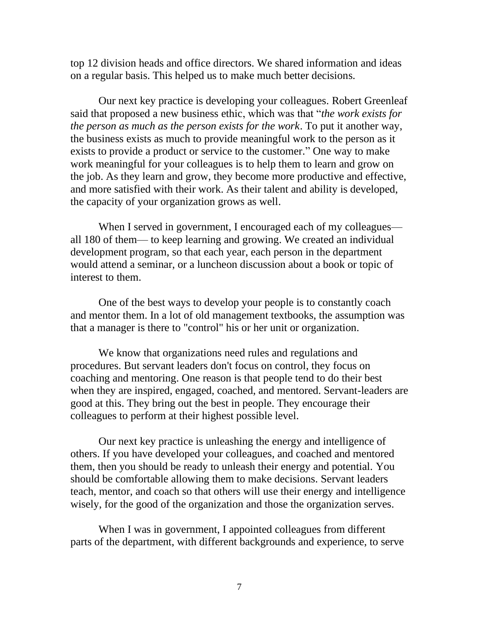top 12 division heads and office directors. We shared information and ideas on a regular basis. This helped us to make much better decisions.

Our next key practice is developing your colleagues. Robert Greenleaf said that proposed a new business ethic, which was that "*the work exists for the person as much as the person exists for the work*. To put it another way, the business exists as much to provide meaningful work to the person as it exists to provide a product or service to the customer." One way to make work meaningful for your colleagues is to help them to learn and grow on the job. As they learn and grow, they become more productive and effective, and more satisfied with their work. As their talent and ability is developed, the capacity of your organization grows as well.

When I served in government, I encouraged each of my colleagues all 180 of them— to keep learning and growing. We created an individual development program, so that each year, each person in the department would attend a seminar, or a luncheon discussion about a book or topic of interest to them.

One of the best ways to develop your people is to constantly coach and mentor them. In a lot of old management textbooks, the assumption was that a manager is there to "control" his or her unit or organization.

We know that organizations need rules and regulations and procedures. But servant leaders don't focus on control, they focus on coaching and mentoring. One reason is that people tend to do their best when they are inspired, engaged, coached, and mentored. Servant-leaders are good at this. They bring out the best in people. They encourage their colleagues to perform at their highest possible level.

Our next key practice is unleashing the energy and intelligence of others. If you have developed your colleagues, and coached and mentored them, then you should be ready to unleash their energy and potential. You should be comfortable allowing them to make decisions. Servant leaders teach, mentor, and coach so that others will use their energy and intelligence wisely, for the good of the organization and those the organization serves.

When I was in government, I appointed colleagues from different parts of the department, with different backgrounds and experience, to serve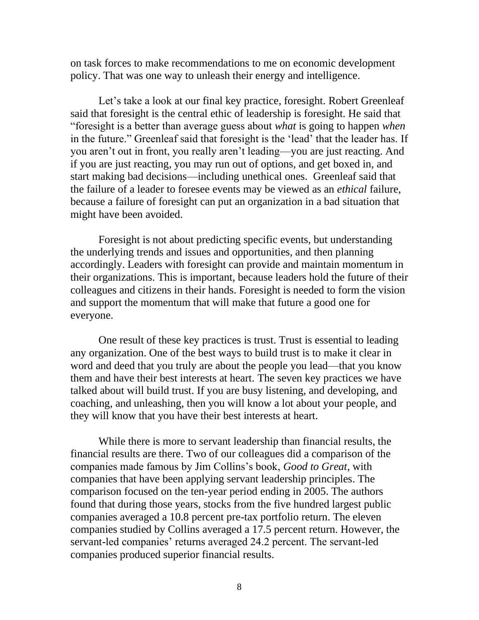on task forces to make recommendations to me on economic development policy. That was one way to unleash their energy and intelligence.

Let's take a look at our final key practice, foresight. Robert Greenleaf said that foresight is the central ethic of leadership is foresight. He said that "foresight is a better than average guess about *what* is going to happen *when* in the future." Greenleaf said that foresight is the 'lead' that the leader has. If you aren't out in front, you really aren't leading—you are just reacting. And if you are just reacting, you may run out of options, and get boxed in, and start making bad decisions—including unethical ones. Greenleaf said that the failure of a leader to foresee events may be viewed as an *ethical* failure, because a failure of foresight can put an organization in a bad situation that might have been avoided.

Foresight is not about predicting specific events, but understanding the underlying trends and issues and opportunities, and then planning accordingly. Leaders with foresight can provide and maintain momentum in their organizations. This is important, because leaders hold the future of their colleagues and citizens in their hands. Foresight is needed to form the vision and support the momentum that will make that future a good one for everyone.

One result of these key practices is trust. Trust is essential to leading any organization. One of the best ways to build trust is to make it clear in word and deed that you truly are about the people you lead—that you know them and have their best interests at heart. The seven key practices we have talked about will build trust. If you are busy listening, and developing, and coaching, and unleashing, then you will know a lot about your people, and they will know that you have their best interests at heart.

While there is more to servant leadership than financial results, the financial results are there. Two of our colleagues did a comparison of the companies made famous by Jim Collins's book, *Good to Great*, with companies that have been applying servant leadership principles. The comparison focused on the ten-year period ending in 2005. The authors found that during those years, stocks from the five hundred largest public companies averaged a 10.8 percent pre-tax portfolio return. The eleven companies studied by Collins averaged a 17.5 percent return. However, the servant-led companies' returns averaged 24.2 percent. The servant-led companies produced superior financial results.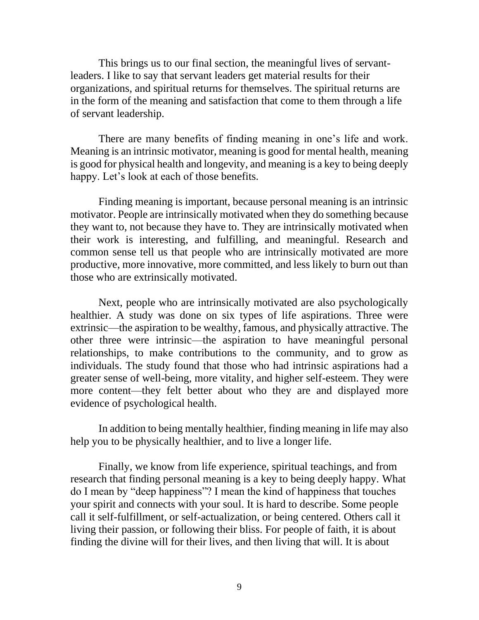This brings us to our final section, the meaningful lives of servantleaders. I like to say that servant leaders get material results for their organizations, and spiritual returns for themselves. The spiritual returns are in the form of the meaning and satisfaction that come to them through a life of servant leadership.

There are many benefits of finding meaning in one's life and work. Meaning is an intrinsic motivator, meaning is good for mental health, meaning is good for physical health and longevity, and meaning is a key to being deeply happy. Let's look at each of those benefits.

Finding meaning is important, because personal meaning is an intrinsic motivator. People are intrinsically motivated when they do something because they want to, not because they have to. They are intrinsically motivated when their work is interesting, and fulfilling, and meaningful. Research and common sense tell us that people who are intrinsically motivated are more productive, more innovative, more committed, and less likely to burn out than those who are extrinsically motivated.

Next, people who are intrinsically motivated are also psychologically healthier. A study was done on six types of life aspirations. Three were extrinsic—the aspiration to be wealthy, famous, and physically attractive. The other three were intrinsic—the aspiration to have meaningful personal relationships, to make contributions to the community, and to grow as individuals. The study found that those who had intrinsic aspirations had a greater sense of well-being, more vitality, and higher self-esteem. They were more content—they felt better about who they are and displayed more evidence of psychological health.

In addition to being mentally healthier, finding meaning in life may also help you to be physically healthier, and to live a longer life.

Finally, we know from life experience, spiritual teachings, and from research that finding personal meaning is a key to being deeply happy. What do I mean by "deep happiness"? I mean the kind of happiness that touches your spirit and connects with your soul. It is hard to describe. Some people call it self-fulfillment, or self-actualization, or being centered. Others call it living their passion, or following their bliss. For people of faith, it is about finding the divine will for their lives, and then living that will. It is about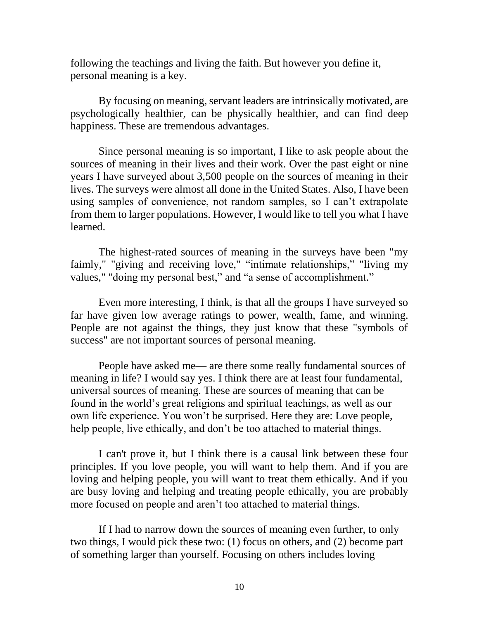following the teachings and living the faith. But however you define it, personal meaning is a key.

By focusing on meaning, servant leaders are intrinsically motivated, are psychologically healthier, can be physically healthier, and can find deep happiness. These are tremendous advantages.

Since personal meaning is so important, I like to ask people about the sources of meaning in their lives and their work. Over the past eight or nine years I have surveyed about 3,500 people on the sources of meaning in their lives. The surveys were almost all done in the United States. Also, I have been using samples of convenience, not random samples, so I can't extrapolate from them to larger populations. However, I would like to tell you what I have learned.

The highest-rated sources of meaning in the surveys have been "my faimly," "giving and receiving love," "intimate relationships," "living my values," "doing my personal best," and "a sense of accomplishment."

Even more interesting, I think, is that all the groups I have surveyed so far have given low average ratings to power, wealth, fame, and winning. People are not against the things, they just know that these "symbols of success" are not important sources of personal meaning.

People have asked me— are there some really fundamental sources of meaning in life? I would say yes. I think there are at least four fundamental, universal sources of meaning. These are sources of meaning that can be found in the world's great religions and spiritual teachings, as well as our own life experience. You won't be surprised. Here they are: Love people, help people, live ethically, and don't be too attached to material things.

I can't prove it, but I think there is a causal link between these four principles. If you love people, you will want to help them. And if you are loving and helping people, you will want to treat them ethically. And if you are busy loving and helping and treating people ethically, you are probably more focused on people and aren't too attached to material things.

If I had to narrow down the sources of meaning even further, to only two things, I would pick these two: (1) focus on others, and (2) become part of something larger than yourself. Focusing on others includes loving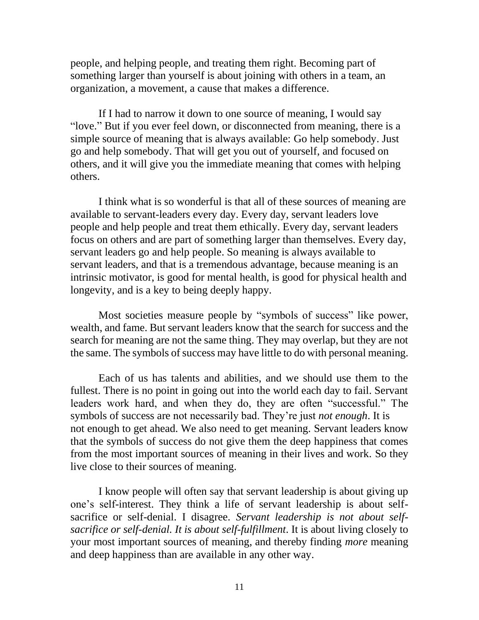people, and helping people, and treating them right. Becoming part of something larger than yourself is about joining with others in a team, an organization, a movement, a cause that makes a difference.

If I had to narrow it down to one source of meaning, I would say "love." But if you ever feel down, or disconnected from meaning, there is a simple source of meaning that is always available: Go help somebody. Just go and help somebody. That will get you out of yourself, and focused on others, and it will give you the immediate meaning that comes with helping others.

I think what is so wonderful is that all of these sources of meaning are available to servant-leaders every day. Every day, servant leaders love people and help people and treat them ethically. Every day, servant leaders focus on others and are part of something larger than themselves. Every day, servant leaders go and help people. So meaning is always available to servant leaders, and that is a tremendous advantage, because meaning is an intrinsic motivator, is good for mental health, is good for physical health and longevity, and is a key to being deeply happy.

Most societies measure people by "symbols of success" like power, wealth, and fame. But servant leaders know that the search for success and the search for meaning are not the same thing. They may overlap, but they are not the same. The symbols of success may have little to do with personal meaning.

Each of us has talents and abilities, and we should use them to the fullest. There is no point in going out into the world each day to fail. Servant leaders work hard, and when they do, they are often "successful." The symbols of success are not necessarily bad. They're just *not enough*. It is not enough to get ahead. We also need to get meaning. Servant leaders know that the symbols of success do not give them the deep happiness that comes from the most important sources of meaning in their lives and work. So they live close to their sources of meaning.

I know people will often say that servant leadership is about giving up one's self-interest. They think a life of servant leadership is about selfsacrifice or self-denial. I disagree. *Servant leadership is not about selfsacrifice or self-denial. It is about self-fulfillment*. It is about living closely to your most important sources of meaning, and thereby finding *more* meaning and deep happiness than are available in any other way.